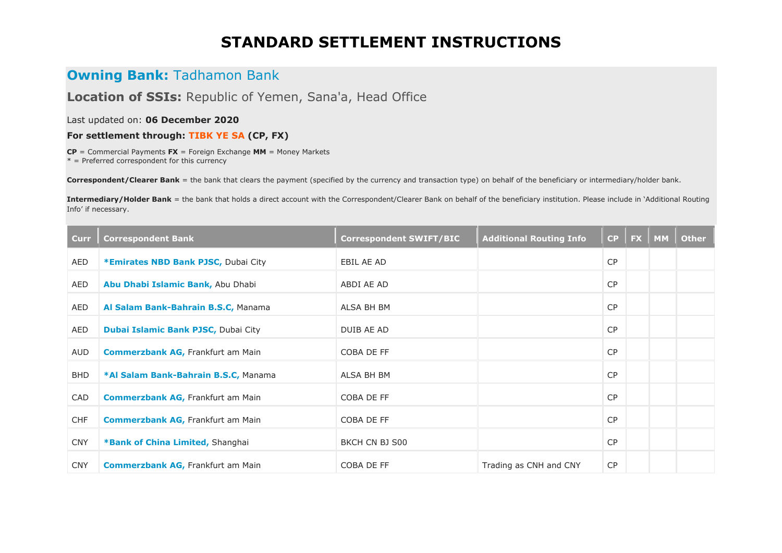## **STANDARD SETTLEMENT INSTRUCTIONS**

## **Owning Bank: Tadhamon Bank**

**Location of SSIs:** Republic of Yemen, Sana'a, Head Office

Last updated on: **06 December 2020**

**For settlement through: TIBK YE SA (CP, FX)**

**CP** = Commercial Payments **FX** = Foreign Exchange **MM** = Money Markets

 $* =$  Preferred correspondent for this currency

**Correspondent/Clearer Bank** = the bank that clears the payment (specified by the currency and transaction type) on behalf of the beneficiary or intermediary/holder bank.

**Intermediary/Holder Bank** = the bank that holds a direct account with the Correspondent/Clearer Bank on behalf of the beneficiary institution. Please include in 'Additional Routing Info' if necessary.

| <b>Curr</b> | <b>Correspondent Bank</b>                | <b>Correspondent SWIFT/BIC</b> | <b>Additional Routing Info</b> |           | $CP \parallel FX \parallel MM$ | <b>Other</b> |
|-------------|------------------------------------------|--------------------------------|--------------------------------|-----------|--------------------------------|--------------|
| <b>AED</b>  | *Emirates NBD Bank PJSC, Dubai City      | EBIL AE AD                     |                                | CP        |                                |              |
| AED         | Abu Dhabi Islamic Bank, Abu Dhabi        | ABDI AE AD                     |                                | CP        |                                |              |
| AED         | Al Salam Bank-Bahrain B.S.C, Manama      | ALSA BH BM                     |                                | <b>CP</b> |                                |              |
| AED         | Dubai Islamic Bank PJSC, Dubai City      | DUIB AE AD                     |                                | <b>CP</b> |                                |              |
| AUD         | <b>Commerzbank AG, Frankfurt am Main</b> | COBA DE FF                     |                                | <b>CP</b> |                                |              |
| <b>BHD</b>  | *Al Salam Bank-Bahrain B.S.C, Manama     | ALSA BH BM                     |                                | <b>CP</b> |                                |              |
| CAD         | <b>Commerzbank AG, Frankfurt am Main</b> | COBA DE FF                     |                                | <b>CP</b> |                                |              |
| <b>CHF</b>  | <b>Commerzbank AG, Frankfurt am Main</b> | COBA DE FF                     |                                | <b>CP</b> |                                |              |
| <b>CNY</b>  | *Bank of China Limited, Shanghai         | BKCH CN BJ S00                 |                                | <b>CP</b> |                                |              |
| <b>CNY</b>  | <b>Commerzbank AG, Frankfurt am Main</b> | COBA DE FF                     | Trading as CNH and CNY         | <b>CP</b> |                                |              |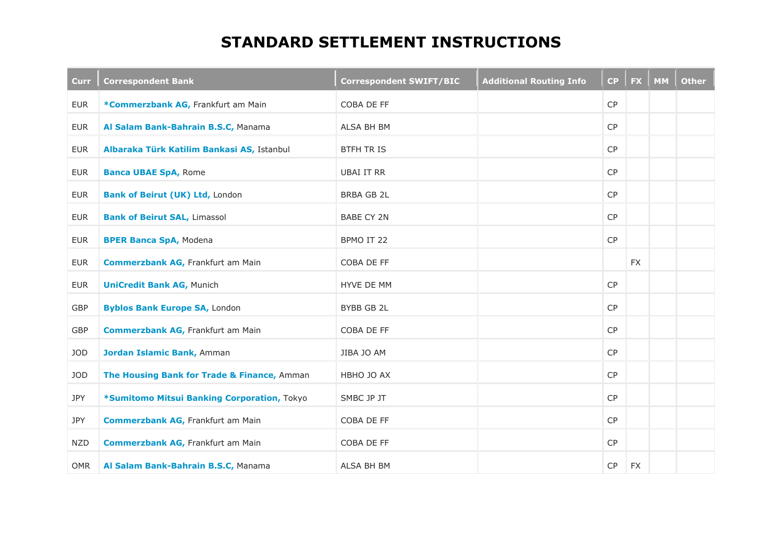## **STANDARD SETTLEMENT INSTRUCTIONS**

| <b>Curr</b> | <b>Correspondent Bank</b>                   | <b>Correspondent SWIFT/BIC</b> | <b>Additional Routing Info</b> | CP        | <b>FX</b> | <b>MM</b> | <b>Other</b> |
|-------------|---------------------------------------------|--------------------------------|--------------------------------|-----------|-----------|-----------|--------------|
| EUR         | *Commerzbank AG, Frankfurt am Main          | COBA DE FF                     |                                | CP        |           |           |              |
| EUR         | Al Salam Bank-Bahrain B.S.C, Manama         | ALSA BH BM                     |                                | CP        |           |           |              |
| <b>EUR</b>  | Albaraka Türk Katilim Bankasi AS, Istanbul  | <b>BTFH TR IS</b>              |                                | <b>CP</b> |           |           |              |
| <b>EUR</b>  | <b>Banca UBAE SpA, Rome</b>                 | UBAI IT RR                     |                                | CP        |           |           |              |
| <b>EUR</b>  | <b>Bank of Beirut (UK) Ltd, London</b>      | <b>BRBA GB 2L</b>              |                                | <b>CP</b> |           |           |              |
| <b>EUR</b>  | <b>Bank of Beirut SAL, Limassol</b>         | <b>BABE CY 2N</b>              |                                | CP        |           |           |              |
| <b>EUR</b>  | <b>BPER Banca SpA, Modena</b>               | BPMO IT 22                     |                                | CP        |           |           |              |
| <b>EUR</b>  | <b>Commerzbank AG, Frankfurt am Main</b>    | COBA DE FF                     |                                |           | <b>FX</b> |           |              |
| <b>EUR</b>  | <b>UniCredit Bank AG, Munich</b>            | <b>HYVE DE MM</b>              |                                | CP        |           |           |              |
| GBP         | <b>Byblos Bank Europe SA, London</b>        | BYBB GB 2L                     |                                | CP        |           |           |              |
| GBP         | <b>Commerzbank AG, Frankfurt am Main</b>    | COBA DE FF                     |                                | CP        |           |           |              |
| JOD         | Jordan Islamic Bank, Amman                  | JIBA JO AM                     |                                | CP        |           |           |              |
| JOD         | The Housing Bank for Trade & Finance, Amman | HBHO JO AX                     |                                | CP        |           |           |              |
| JPY         | *Sumitomo Mitsui Banking Corporation, Tokyo | SMBC JP JT                     |                                | CP        |           |           |              |
| JPY         | <b>Commerzbank AG, Frankfurt am Main</b>    | COBA DE FF                     |                                | CP        |           |           |              |
| <b>NZD</b>  | <b>Commerzbank AG, Frankfurt am Main</b>    | COBA DE FF                     |                                | CP        |           |           |              |
| <b>OMR</b>  | Al Salam Bank-Bahrain B.S.C, Manama         | ALSA BH BM                     |                                | CP        | <b>FX</b> |           |              |